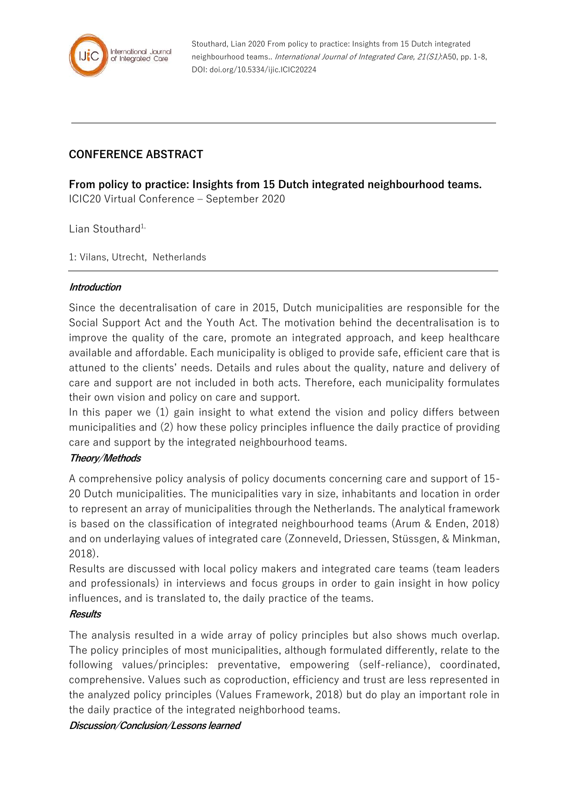

Stouthard, Lian 2020 From policy to practice: Insights from 15 Dutch integrated neighbourhood teams.. International Journal of Integrated Care, 21(S1):A50, pp. 1-8, DOI: doi.org/10.5334/ijic.ICIC20224

# **CONFERENCE ABSTRACT**

**From policy to practice: Insights from 15 Dutch integrated neighbourhood teams.** ICIC20 Virtual Conference – September 2020

 $L$ ian Stouthard<sup>1,</sup>

1: Vilans, Utrecht, Netherlands

#### **Introduction**

Since the decentralisation of care in 2015, Dutch municipalities are responsible for the Social Support Act and the Youth Act. The motivation behind the decentralisation is to improve the quality of the care, promote an integrated approach, and keep healthcare available and affordable. Each municipality is obliged to provide safe, efficient care that is attuned to the clients' needs. Details and rules about the quality, nature and delivery of care and support are not included in both acts. Therefore, each municipality formulates their own vision and policy on care and support.

In this paper we (1) gain insight to what extend the vision and policy differs between municipalities and (2) how these policy principles influence the daily practice of providing care and support by the integrated neighbourhood teams.

## **Theory/Methods**

A comprehensive policy analysis of policy documents concerning care and support of 15- 20 Dutch municipalities. The municipalities vary in size, inhabitants and location in order to represent an array of municipalities through the Netherlands. The analytical framework is based on the classification of integrated neighbourhood teams (Arum & Enden, 2018) and on underlaying values of integrated care (Zonneveld, Driessen, Stüssgen, & Minkman, 2018).

Results are discussed with local policy makers and integrated care teams (team leaders and professionals) in interviews and focus groups in order to gain insight in how policy influences, and is translated to, the daily practice of the teams.

#### **Results**

The analysis resulted in a wide array of policy principles but also shows much overlap. The policy principles of most municipalities, although formulated differently, relate to the following values/principles: preventative, empowering (self-reliance), coordinated, comprehensive. Values such as coproduction, efficiency and trust are less represented in the analyzed policy principles (Values Framework, 2018) but do play an important role in the daily practice of the integrated neighborhood teams.

#### **Discussion/Conclusion/Lessons learned**